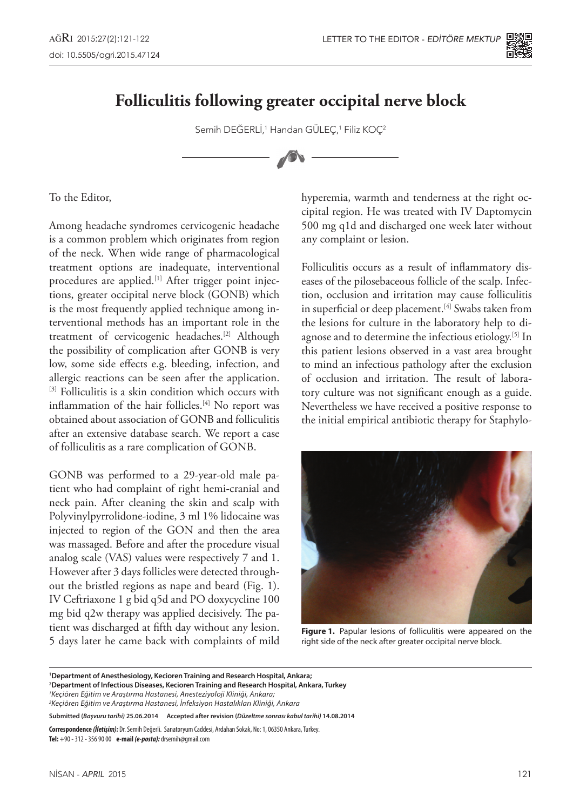

## **Folliculitis following greater occipital nerve block**

Semih DEĞERLI,<sup>1</sup> Handan GULEÇ,<sup>1</sup> Filiz KOÇ<sup>2</sup>

To the Editor,

Among headache syndromes cervicogenic headache is a common problem which originates from region of the neck. When wide range of pharmacological treatment options are inadequate, interventional procedures are applied.<sup>[1]</sup> After trigger point injections, greater occipital nerve block (GONB) which is the most frequently applied technique among interventional methods has an important role in the treatment of cervicogenic headaches.[2] Although the possibility of complication after GONB is very low, some side effects e.g. bleeding, infection, and allergic reactions can be seen after the application. [3] Folliculitis is a skin condition which occurs with inflammation of the hair follicles.<sup>[4]</sup> No report was obtained about association of GONB and folliculitis after an extensive database search. We report a case of folliculitis as a rare complication of GONB.

GONB was performed to a 29-year-old male patient who had complaint of right hemi-cranial and neck pain. After cleaning the skin and scalp with Polyvinylpyrrolidone-iodine, 3 ml 1% lidocaine was injected to region of the GON and then the area was massaged. Before and after the procedure visual analog scale (VAS) values were respectively 7 and 1. However after 3 days follicles were detected throughout the bristled regions as nape and beard (Fig. 1). IV Ceftriaxone 1 g bid q5d and PO doxycycline 100 mg bid q2w therapy was applied decisively. The patient was discharged at fifth day without any lesion. 5 days later he came back with complaints of mild

hyperemia, warmth and tenderness at the right occipital region. He was treated with IV Daptomycin 500 mg q1d and discharged one week later without any complaint or lesion.

Folliculitis occurs as a result of inflammatory diseases of the pilosebaceous follicle of the scalp. Infection, occlusion and irritation may cause folliculitis in superficial or deep placement.<sup>[4]</sup> Swabs taken from the lesions for culture in the laboratory help to diagnose and to determine the infectious etiology.<sup>[5]</sup> In this patient lesions observed in a vast area brought to mind an infectious pathology after the exclusion of occlusion and irritation. The result of laboratory culture was not significant enough as a guide. Nevertheless we have received a positive response to the initial empirical antibiotic therapy for Staphylo-



**Figure 1.** Papular lesions of folliculitis were appeared on the right side of the neck after greater occipital nerve block.

**1 Department of Anesthesiology, Kecioren Training and Research Hospital, Ankara;**

**Correspondence** *(İletişim):* Dr. Semih Değerli. Sanatoryum Caddesi, Ardahan Sokak, No: 1, 06350 Ankara, Turkey. **Tel:** +90 - 312 - 356 90 00 **e-mail** *(e-posta):* drsemih@gmail.com

**<sup>2</sup> Department of Infectious Diseases, Kecioren Training and Research Hospital, Ankara, Turkey**

*<sup>1</sup> Keçiören Eğitim ve Araştırma Hastanesi, Anesteziyoloji Kliniği, Ankara;*

*<sup>2</sup> Keçiören Eğitim ve Araştırma Hastanesi, İnfeksiyon Hastalıkları Kliniği, Ankara*

**Submitted (***Başvuru tarihi)* **25.06.2014 Accepted after revision (***Düzeltme sonrası kabul tarihi)* **14.08.2014**